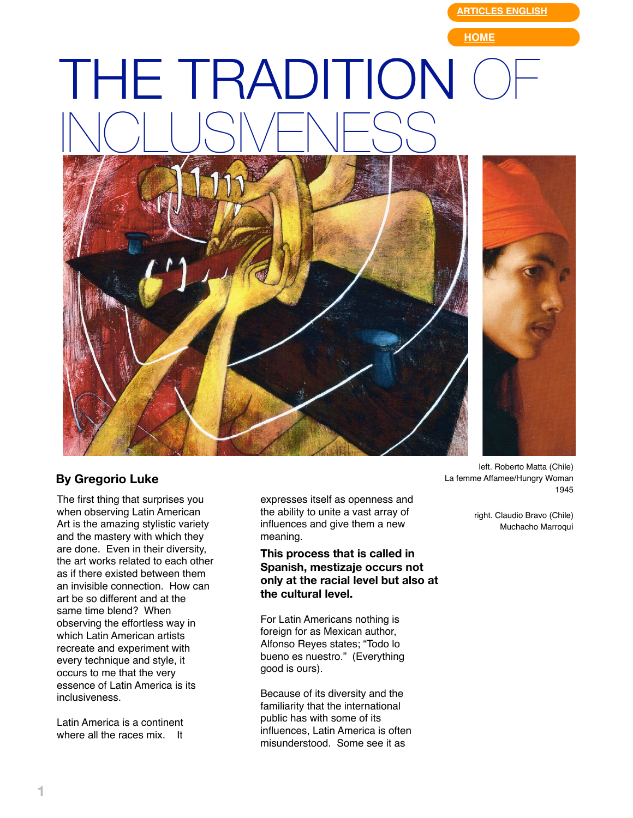**[ARTICLES ENGLISH](http://web.mac.com/gregorioluke/Site/Articles_in_English.html)**

**[HOME](http://web.mac.com/gregorioluke/Site/Home.html)**

## THE TRADITION INCLUSIVENESS



## **By Gregorio Luke**

The first thing that surprises you when observing Latin American Art is the amazing stylistic variety and the mastery with which they are done. Even in their diversity, the art works related to each other as if there existed between them an invisible connection. How can art be so different and at the same time blend? When observing the effortless way in which Latin American artists recreate and experiment with every technique and style, it occurs to me that the very essence of Latin America is its inclusiveness.

Latin America is a continent where all the races mix. It

expresses itself as openness and the ability to unite a vast array of influences and give them a new meaning.

**This process that is called in Spanish, mestizaje occurs not only at the racial level but also at the cultural level.**

For Latin Americans nothing is foreign for as Mexican author, Alfonso Reyes states; "Todo lo bueno es nuestro." (Everything good is ours).

Because of its diversity and the familiarity that the international public has with some of its influences, Latin America is often misunderstood. Some see it as

left. Roberto Matta (Chile) La femme Affamee/Hungry Woman 1945

right. Claudio Bravo (Chile) Muchacho Marroquí